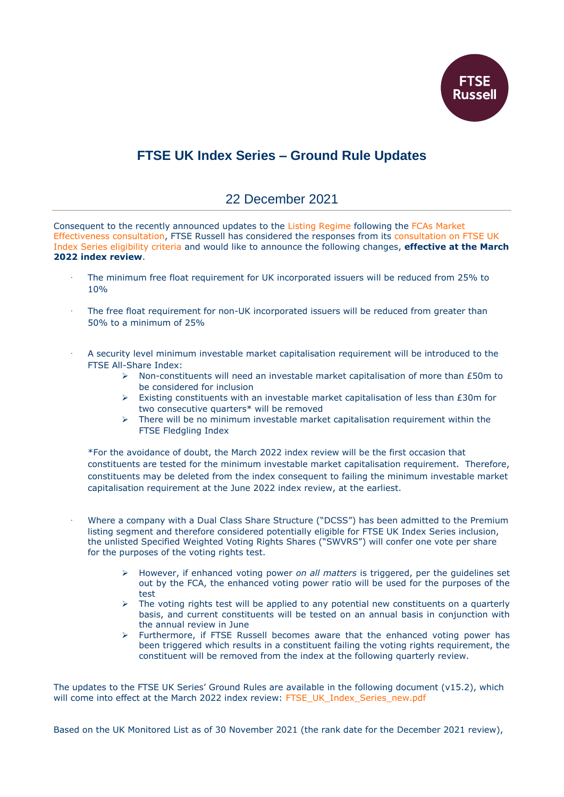

## **FTSE UK Index Series – Ground Rule Updates**

## 22 December 2021

Consequent to the recently announced updates to the [Listing Regime](https://www.fca.org.uk/publications/policy-statements/ps21-22-primary-market-effectiveness-review-feedback-and-final-changes-listing-rules) following the [FCAs Market](https://www.fca.org.uk/publication/consultation/cp21-21.pdf)  [Effectiveness consultation,](https://www.fca.org.uk/publication/consultation/cp21-21.pdf) FTSE Russell has considered the responses from its [consultation on FTSE UK](https://content.ftserussell.com/sites/default/files/ftse_uk_index_series_-_user_consultation_-_22_july_2021.pdf)  [Index Series eligibility criteria](https://content.ftserussell.com/sites/default/files/ftse_uk_index_series_-_user_consultation_-_22_july_2021.pdf) and would like to announce the following changes, **effective at the March 2022 index review**.

- The minimum free float requirement for UK incorporated issuers will be reduced from 25% to 10%
- The free float requirement for non-UK incorporated issuers will be reduced from greater than 50% to a minimum of 25%
- · A security level minimum investable market capitalisation requirement will be introduced to the FTSE All-Share Index:
	- $\triangleright$  Non-constituents will need an investable market capitalisation of more than £50m to be considered for inclusion
	- $\triangleright$  Existing constituents with an investable market capitalisation of less than £30m for two consecutive quarters\* will be removed
	- $\triangleright$  There will be no minimum investable market capitalisation requirement within the FTSE Fledgling Index

\*For the avoidance of doubt, the March 2022 index review will be the first occasion that constituents are tested for the minimum investable market capitalisation requirement. Therefore, constituents may be deleted from the index consequent to failing the minimum investable market capitalisation requirement at the June 2022 index review, at the earliest.

- Where a company with a Dual Class Share Structure ("DCSS") has been admitted to the Premium listing segment and therefore considered potentially eligible for FTSE UK Index Series inclusion, the unlisted Specified Weighted Voting Rights Shares ("SWVRS") will confer one vote per share for the purposes of the voting rights test.
	- However, if enhanced voting power *on all matters* is triggered, per the guidelines set out by the FCA, the enhanced voting power ratio will be used for the purposes of the test
	- $\triangleright$  The voting rights test will be applied to any potential new constituents on a quarterly basis, and current constituents will be tested on an annual basis in conjunction with the annual review in June
	- $\triangleright$  Furthermore, if FTSE Russell becomes aware that the enhanced voting power has been triggered which results in a constituent failing the voting rights requirement, the constituent will be removed from the index at the following quarterly review.

The updates to the FTSE UK Series' Ground Rules are available in the following document (v15.2), which will come into effect at the March 2022 index review: [FTSE\\_UK\\_Index\\_Series\\_new.pdf](http://www.ftse.com/products/downloads/FTSE_UK_Index_Series_new.pdf)

Based on the UK Monitored List as of 30 November 2021 (the rank date for the December 2021 review),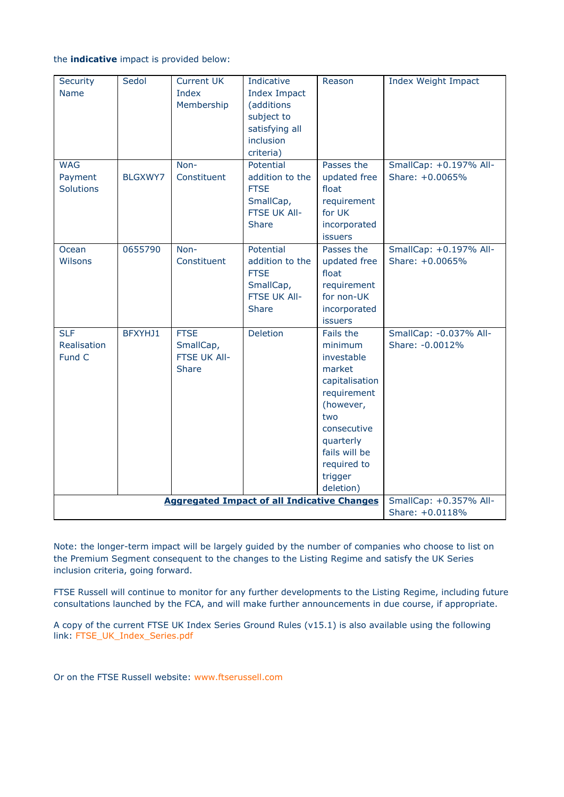## the **indicative** impact is provided below:

| Security                                           | Sedol          | <b>Current UK</b> | Indicative          | Reason         | <b>Index Weight Impact</b> |
|----------------------------------------------------|----------------|-------------------|---------------------|----------------|----------------------------|
| <b>Name</b>                                        |                | Index             | <b>Index Impact</b> |                |                            |
|                                                    |                | Membership        | (additions          |                |                            |
|                                                    |                |                   | subject to          |                |                            |
|                                                    |                |                   | satisfying all      |                |                            |
|                                                    |                |                   | inclusion           |                |                            |
|                                                    |                |                   | criteria)           |                |                            |
| <b>WAG</b>                                         |                | Non-              | Potential           | Passes the     | SmallCap: +0.197% All-     |
| Payment                                            | <b>BLGXWY7</b> | Constituent       | addition to the     | updated free   | Share: +0.0065%            |
| <b>Solutions</b>                                   |                |                   | <b>FTSE</b>         | float          |                            |
|                                                    |                |                   | SmallCap,           | requirement    |                            |
|                                                    |                |                   | FTSE UK All-        | for UK         |                            |
|                                                    |                |                   | Share               | incorporated   |                            |
|                                                    |                |                   |                     | <b>issuers</b> |                            |
| Ocean                                              | 0655790        | Non-              | Potential           | Passes the     | SmallCap: +0.197% All-     |
| <b>Wilsons</b>                                     |                | Constituent       | addition to the     | updated free   | Share: +0.0065%            |
|                                                    |                |                   | <b>FTSE</b>         | float          |                            |
|                                                    |                |                   | SmallCap,           | requirement    |                            |
|                                                    |                |                   | FTSE UK All-        | for non-UK     |                            |
|                                                    |                |                   | <b>Share</b>        | incorporated   |                            |
|                                                    |                |                   |                     | <b>issuers</b> |                            |
| <b>SLF</b>                                         | BFXYHJ1        | <b>FTSE</b>       | Deletion            | Fails the      | SmallCap: - 0.037% All-    |
| Realisation                                        |                | SmallCap,         |                     | minimum        | Share: -0.0012%            |
| Fund C                                             |                | FTSE UK All-      |                     | investable     |                            |
|                                                    |                | <b>Share</b>      |                     | market         |                            |
|                                                    |                |                   |                     | capitalisation |                            |
|                                                    |                |                   |                     | requirement    |                            |
|                                                    |                |                   |                     | (however,      |                            |
|                                                    |                |                   |                     | two            |                            |
|                                                    |                |                   |                     | consecutive    |                            |
|                                                    |                |                   |                     | quarterly      |                            |
|                                                    |                |                   |                     | fails will be  |                            |
|                                                    |                |                   |                     | required to    |                            |
|                                                    |                |                   |                     | trigger        |                            |
|                                                    |                |                   |                     | deletion)      |                            |
| <b>Aggregated Impact of all Indicative Changes</b> |                |                   |                     |                | SmallCap: +0.357% All-     |
|                                                    |                |                   |                     |                | Share: +0.0118%            |

Note: the longer-term impact will be largely guided by the number of companies who choose to list on the Premium Segment consequent to the changes to the Listing Regime and satisfy the UK Series inclusion criteria, going forward.

FTSE Russell will continue to monitor for any further developments to the Listing Regime, including future consultations launched by the FCA, and will make further announcements in due course, if appropriate.

A copy of the current FTSE UK Index Series Ground Rules (v15.1) is also available using the following link: [FTSE\\_UK\\_Index\\_Series.pdf](http://www.ftse.com/products/downloads/FTSE_UK_Index_Series.pdf)

Or on the FTSE Russell website: [www.ftserussell.com](http://www.ftserussell.com/)